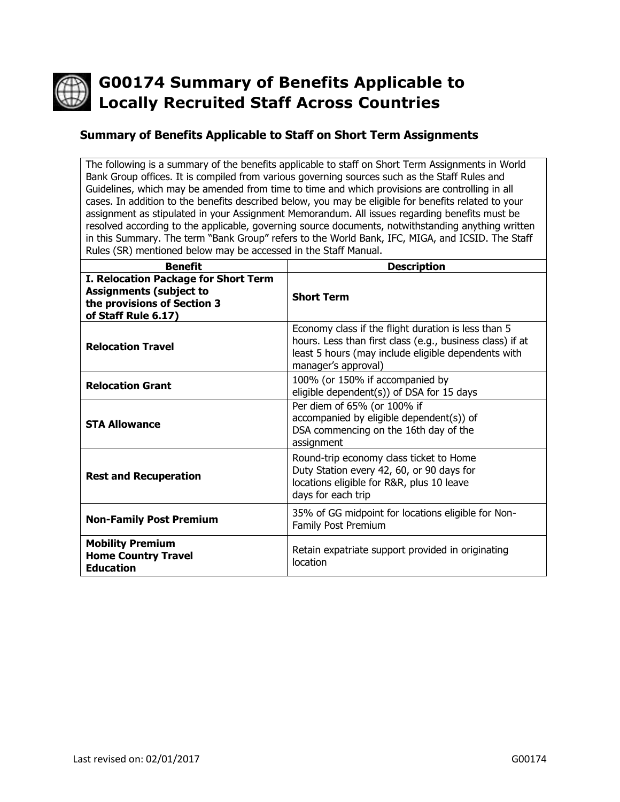

# **G00174 Summary of Benefits Applicable to Locally Recruited Staff Across Countries**

#### **Summary of Benefits Applicable to Staff on Short Term Assignments**

The following is a summary of the benefits applicable to staff on Short Term Assignments in World Bank Group offices. It is compiled from various governing sources such as the Staff Rules and Guidelines, which may be amended from time to time and which provisions are controlling in all cases. In addition to the benefits described below, you may be eligible for benefits related to your assignment as stipulated in your Assignment Memorandum. All issues regarding benefits must be resolved according to the applicable, governing source documents, notwithstanding anything written in this Summary. The term "Bank Group" refers to the World Bank, IFC, MIGA, and ICSID. The Staff Rules (SR) mentioned below may be accessed in the Staff Manual.

| <b>Benefit</b>                                                                                                               | <b>Description</b>                                                                                                                                                                             |
|------------------------------------------------------------------------------------------------------------------------------|------------------------------------------------------------------------------------------------------------------------------------------------------------------------------------------------|
| I. Relocation Package for Short Term<br><b>Assignments (subject to</b><br>the provisions of Section 3<br>of Staff Rule 6.17) | <b>Short Term</b>                                                                                                                                                                              |
| <b>Relocation Travel</b>                                                                                                     | Economy class if the flight duration is less than 5<br>hours. Less than first class (e.g., business class) if at<br>least 5 hours (may include eligible dependents with<br>manager's approval) |
| <b>Relocation Grant</b>                                                                                                      | 100% (or 150% if accompanied by<br>eligible dependent(s)) of DSA for 15 days                                                                                                                   |
| <b>STA Allowance</b>                                                                                                         | Per diem of 65% (or 100% if<br>accompanied by eligible dependent(s)) of<br>DSA commencing on the 16th day of the<br>assignment                                                                 |
| <b>Rest and Recuperation</b>                                                                                                 | Round-trip economy class ticket to Home<br>Duty Station every 42, 60, or 90 days for<br>locations eligible for R&R, plus 10 leave<br>days for each trip                                        |
| <b>Non-Family Post Premium</b>                                                                                               | 35% of GG midpoint for locations eligible for Non-<br>Family Post Premium                                                                                                                      |
| <b>Mobility Premium</b><br><b>Home Country Travel</b><br><b>Education</b>                                                    | Retain expatriate support provided in originating<br>location                                                                                                                                  |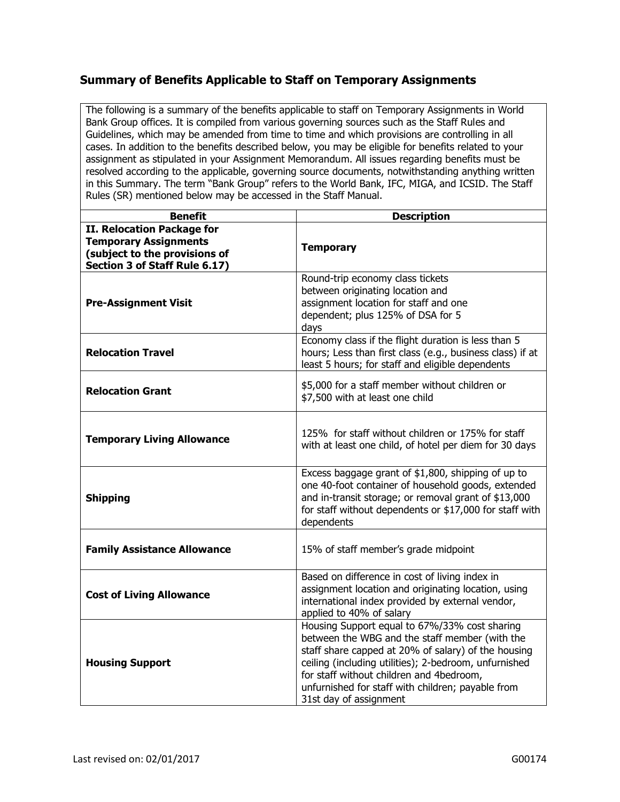### **Summary of Benefits Applicable to Staff on Temporary Assignments**

The following is a summary of the benefits applicable to staff on Temporary Assignments in World Bank Group offices. It is compiled from various governing sources such as the Staff Rules and Guidelines, which may be amended from time to time and which provisions are controlling in all cases. In addition to the benefits described below, you may be eligible for benefits related to your assignment as stipulated in your Assignment Memorandum. All issues regarding benefits must be resolved according to the applicable, governing source documents, notwithstanding anything written in this Summary. The term "Bank Group" refers to the World Bank, IFC, MIGA, and ICSID. The Staff Rules (SR) mentioned below may be accessed in the Staff Manual.

| <b>Benefit</b>                                                                                                                      | <b>Description</b>                                                                                                                                                                                                                                                                                                                         |
|-------------------------------------------------------------------------------------------------------------------------------------|--------------------------------------------------------------------------------------------------------------------------------------------------------------------------------------------------------------------------------------------------------------------------------------------------------------------------------------------|
| <b>II. Relocation Package for</b><br><b>Temporary Assignments</b><br>(subject to the provisions of<br>Section 3 of Staff Rule 6.17) | <b>Temporary</b>                                                                                                                                                                                                                                                                                                                           |
| <b>Pre-Assignment Visit</b>                                                                                                         | Round-trip economy class tickets<br>between originating location and<br>assignment location for staff and one<br>dependent; plus 125% of DSA for 5<br>days                                                                                                                                                                                 |
| <b>Relocation Travel</b>                                                                                                            | Economy class if the flight duration is less than 5<br>hours; Less than first class (e.g., business class) if at<br>least 5 hours; for staff and eligible dependents                                                                                                                                                                       |
| <b>Relocation Grant</b>                                                                                                             | \$5,000 for a staff member without children or<br>\$7,500 with at least one child                                                                                                                                                                                                                                                          |
| <b>Temporary Living Allowance</b>                                                                                                   | 125% for staff without children or 175% for staff<br>with at least one child, of hotel per diem for 30 days                                                                                                                                                                                                                                |
| <b>Shipping</b>                                                                                                                     | Excess baggage grant of \$1,800, shipping of up to<br>one 40-foot container of household goods, extended<br>and in-transit storage; or removal grant of \$13,000<br>for staff without dependents or \$17,000 for staff with<br>dependents                                                                                                  |
| <b>Family Assistance Allowance</b>                                                                                                  | 15% of staff member's grade midpoint                                                                                                                                                                                                                                                                                                       |
| <b>Cost of Living Allowance</b>                                                                                                     | Based on difference in cost of living index in<br>assignment location and originating location, using<br>international index provided by external vendor,<br>applied to 40% of salary                                                                                                                                                      |
| <b>Housing Support</b>                                                                                                              | Housing Support equal to 67%/33% cost sharing<br>between the WBG and the staff member (with the<br>staff share capped at 20% of salary) of the housing<br>ceiling (including utilities); 2-bedroom, unfurnished<br>for staff without children and 4bedroom,<br>unfurnished for staff with children; payable from<br>31st day of assignment |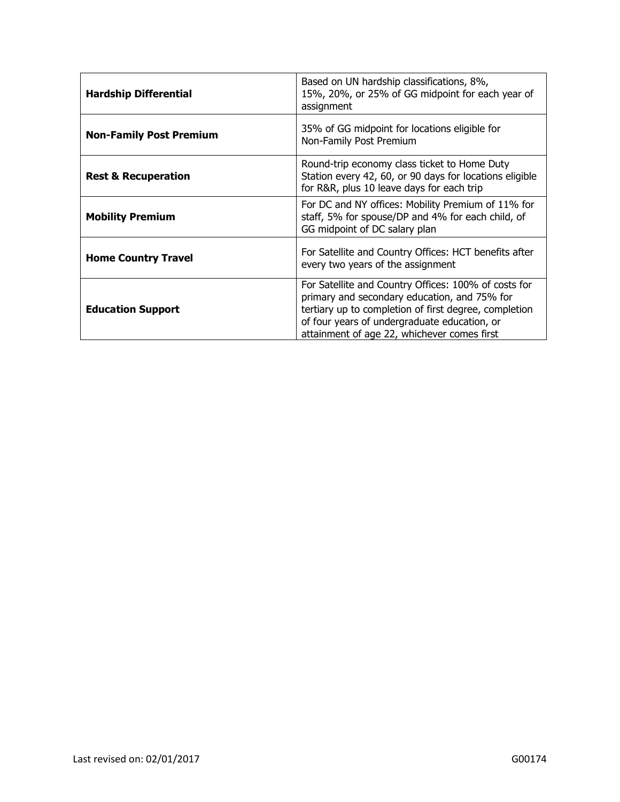| <b>Hardship Differential</b>   | Based on UN hardship classifications, 8%,<br>15%, 20%, or 25% of GG midpoint for each year of<br>assignment                                                                                                                                                  |
|--------------------------------|--------------------------------------------------------------------------------------------------------------------------------------------------------------------------------------------------------------------------------------------------------------|
| <b>Non-Family Post Premium</b> | 35% of GG midpoint for locations eligible for<br>Non-Family Post Premium                                                                                                                                                                                     |
| <b>Rest &amp; Recuperation</b> | Round-trip economy class ticket to Home Duty<br>Station every 42, 60, or 90 days for locations eligible<br>for R&R, plus 10 leave days for each trip                                                                                                         |
| <b>Mobility Premium</b>        | For DC and NY offices: Mobility Premium of 11% for<br>staff, 5% for spouse/DP and 4% for each child, of<br>GG midpoint of DC salary plan                                                                                                                     |
| <b>Home Country Travel</b>     | For Satellite and Country Offices: HCT benefits after<br>every two years of the assignment                                                                                                                                                                   |
| <b>Education Support</b>       | For Satellite and Country Offices: 100% of costs for<br>primary and secondary education, and 75% for<br>tertiary up to completion of first degree, completion<br>of four years of undergraduate education, or<br>attainment of age 22, whichever comes first |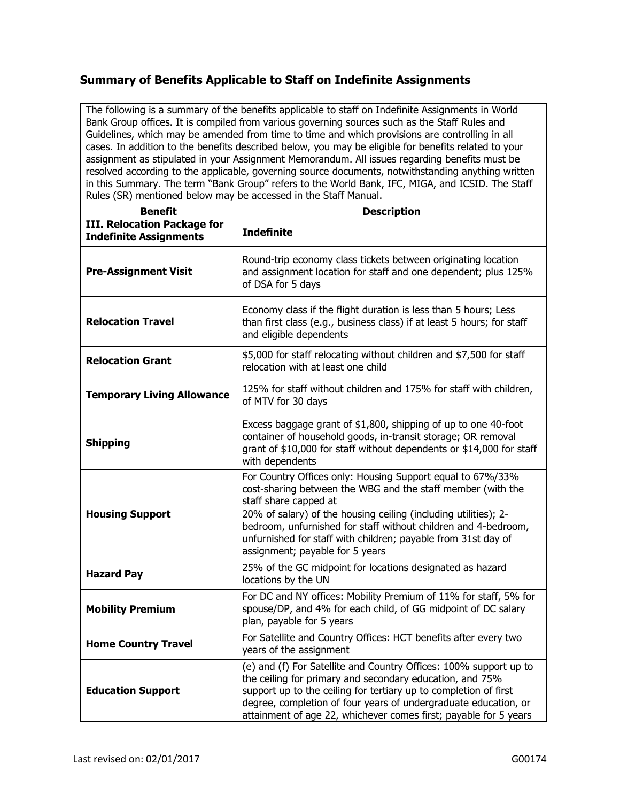## **Summary of Benefits Applicable to Staff on Indefinite Assignments**

The following is a summary of the benefits applicable to staff on Indefinite Assignments in World Bank Group offices. It is compiled from various governing sources such as the Staff Rules and Guidelines, which may be amended from time to time and which provisions are controlling in all cases. In addition to the benefits described below, you may be eligible for benefits related to your assignment as stipulated in your Assignment Memorandum. All issues regarding benefits must be resolved according to the applicable, governing source documents, notwithstanding anything written in this Summary. The term "Bank Group" refers to the World Bank, IFC, MIGA, and ICSID. The Staff Rules (SR) mentioned below may be accessed in the Staff Manual.

| <b>Benefit</b>                                                      | <b>Description</b>                                                                                                                                                                                                                                                                                                                                                                          |
|---------------------------------------------------------------------|---------------------------------------------------------------------------------------------------------------------------------------------------------------------------------------------------------------------------------------------------------------------------------------------------------------------------------------------------------------------------------------------|
| <b>III. Relocation Package for</b><br><b>Indefinite Assignments</b> | <b>Indefinite</b>                                                                                                                                                                                                                                                                                                                                                                           |
| <b>Pre-Assignment Visit</b>                                         | Round-trip economy class tickets between originating location<br>and assignment location for staff and one dependent; plus 125%<br>of DSA for 5 days                                                                                                                                                                                                                                        |
| <b>Relocation Travel</b>                                            | Economy class if the flight duration is less than 5 hours; Less<br>than first class (e.g., business class) if at least 5 hours; for staff<br>and eligible dependents                                                                                                                                                                                                                        |
| <b>Relocation Grant</b>                                             | \$5,000 for staff relocating without children and \$7,500 for staff<br>relocation with at least one child                                                                                                                                                                                                                                                                                   |
| <b>Temporary Living Allowance</b>                                   | 125% for staff without children and 175% for staff with children,<br>of MTV for 30 days                                                                                                                                                                                                                                                                                                     |
| <b>Shipping</b>                                                     | Excess baggage grant of \$1,800, shipping of up to one 40-foot<br>container of household goods, in-transit storage; OR removal<br>grant of \$10,000 for staff without dependents or \$14,000 for staff<br>with dependents                                                                                                                                                                   |
| <b>Housing Support</b>                                              | For Country Offices only: Housing Support equal to 67%/33%<br>cost-sharing between the WBG and the staff member (with the<br>staff share capped at<br>20% of salary) of the housing ceiling (including utilities); 2-<br>bedroom, unfurnished for staff without children and 4-bedroom,<br>unfurnished for staff with children; payable from 31st day of<br>assignment; payable for 5 years |
| <b>Hazard Pay</b>                                                   | 25% of the GC midpoint for locations designated as hazard<br>locations by the UN                                                                                                                                                                                                                                                                                                            |
| <b>Mobility Premium</b>                                             | For DC and NY offices: Mobility Premium of 11% for staff, 5% for<br>spouse/DP, and 4% for each child, of GG midpoint of DC salary<br>plan, payable for 5 years                                                                                                                                                                                                                              |
| <b>Home Country Travel</b>                                          | For Satellite and Country Offices: HCT benefits after every two<br>years of the assignment                                                                                                                                                                                                                                                                                                  |
| <b>Education Support</b>                                            | (e) and (f) For Satellite and Country Offices: 100% support up to<br>the ceiling for primary and secondary education, and 75%<br>support up to the ceiling for tertiary up to completion of first<br>degree, completion of four years of undergraduate education, or<br>attainment of age 22, whichever comes first; payable for 5 years                                                    |